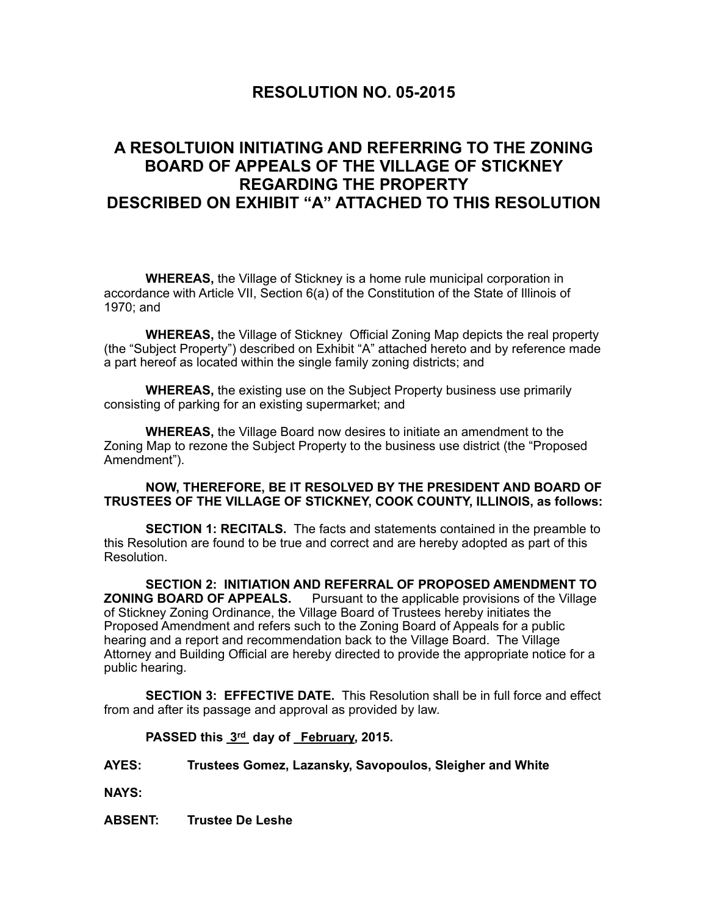## **RESOLUTION NO. 05-2015**

## **A RESOLTUION INITIATING AND REFERRING TO THE ZONING BOARD OF APPEALS OF THE VILLAGE OF STICKNEY REGARDING THE PROPERTY DESCRIBED ON EXHIBIT "A" ATTACHED TO THIS RESOLUTION**

**WHEREAS,** the Village of Stickney is a home rule municipal corporation in accordance with Article VII, Section 6(a) of the Constitution of the State of Illinois of 1970; and

**WHEREAS,** the Village of Stickney Official Zoning Map depicts the real property (the "Subject Property") described on Exhibit "A" attached hereto and by reference made a part hereof as located within the single family zoning districts; and

**WHEREAS,** the existing use on the Subject Property business use primarily consisting of parking for an existing supermarket; and

**WHEREAS,** the Village Board now desires to initiate an amendment to the Zoning Map to rezone the Subject Property to the business use district (the "Proposed Amendment").

## **NOW, THEREFORE, BE IT RESOLVED BY THE PRESIDENT AND BOARD OF TRUSTEES OF THE VILLAGE OF STICKNEY, COOK COUNTY, ILLINOIS, as follows:**

 **SECTION 1: RECITALS.** The facts and statements contained in the preamble to this Resolution are found to be true and correct and are hereby adopted as part of this Resolution.

**SECTION 2: INITIATION AND REFERRAL OF PROPOSED AMENDMENT TO ZONING BOARD OF APPEALS.** Pursuant to the applicable provisions of the Village of Stickney Zoning Ordinance, the Village Board of Trustees hereby initiates the Proposed Amendment and refers such to the Zoning Board of Appeals for a public hearing and a report and recommendation back to the Village Board. The Village Attorney and Building Official are hereby directed to provide the appropriate notice for a public hearing.

**SECTION 3: EFFECTIVE DATE.** This Resolution shall be in full force and effect from and after its passage and approval as provided by law.

PASSED this  $3<sup>rd</sup>$  day of February, 2015.

## **AYES: Trustees Gomez, Lazansky, Savopoulos, Sleigher and White**

**NAYS:**

**ABSENT: Trustee De Leshe**